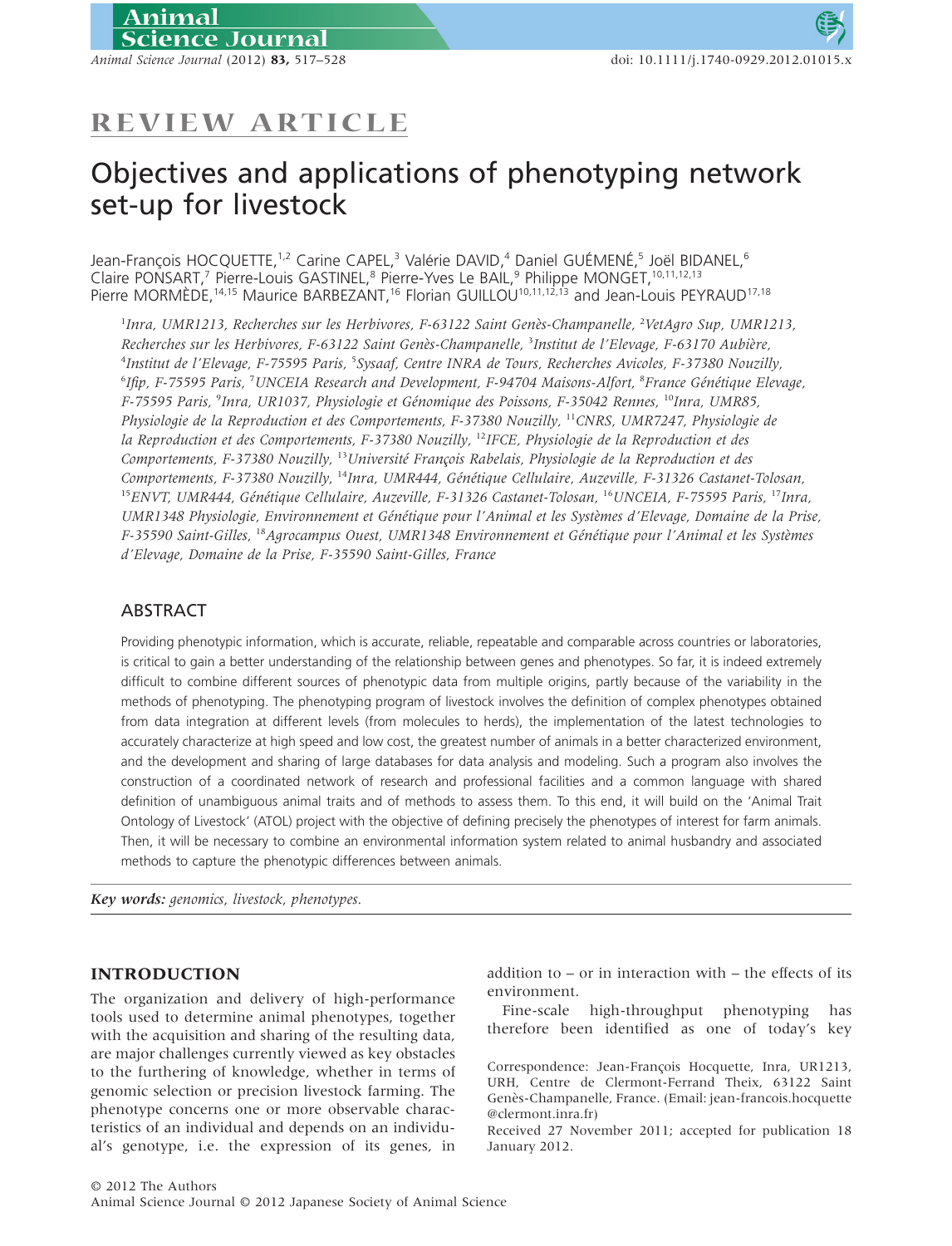# **REVIEW ARTICLE**

# Objectives and applications of phenotyping network set-up for livestock

Jean-François HOCQUETTE,<sup>1,2</sup> Carine CAPEL,<sup>3</sup> Valérie DAVID,<sup>4</sup> Daniel GUÉMENÉ,<sup>5</sup> Joël BIDANEL,<sup>6</sup> Claire PONSART,<sup>7</sup> Pierre-Louis GASTINEL,<sup>8</sup> Pierre-Yves Le BAIL,<sup>9</sup> Philippe MONGET,<sup>10,11,12,13</sup> Pierre MORMÈDE,<sup>14,15</sup> Maurice BARBEZANT,<sup>16</sup> Florian GUILLOU<sup>10,11,12,13</sup> and Jean-Louis PEYRAUD<sup>17,18</sup>

1 *Inra, UMR1213, Recherches sur les Herbivores, F-63122 Saint Genès-Champanelle,* <sup>2</sup> *VetAgro Sup, UMR1213, Recherches sur les Herbivores, F-63122 Saint Genès-Champanelle,* <sup>3</sup> *Institut de l'Elevage, F-63170 Aubière,* 4 *Institut de l'Elevage, F-75595 Paris,* <sup>5</sup> *Sysaaf, Centre INRA de Tours, Recherches Avicoles, F-37380 Nouzilly,* 6 *Ifip, F-75595 Paris,* <sup>7</sup> *UNCEIA Research and Development, F-94704 Maisons-Alfort,* <sup>8</sup> *France Génétique Elevage, F-75595 Paris,* <sup>9</sup> *Inra, UR1037, Physiologie et Génomique des Poissons, F-35042 Rennes,* <sup>10</sup>*Inra, UMR85, Physiologie de la Reproduction et des Comportements, F-37380 Nouzilly,* <sup>11</sup>*CNRS, UMR7247, Physiologie de la Reproduction et des Comportements, F-37380 Nouzilly,* <sup>12</sup>*IFCE, Physiologie de la Reproduction et des Comportements, F-37380 Nouzilly,* <sup>13</sup>*Université François Rabelais, Physiologie de la Reproduction et des Comportements, F-37380 Nouzilly,* <sup>14</sup>*Inra, UMR444, Génétique Cellulaire, Auzeville, F-31326 Castanet-Tolosan,* <sup>15</sup>*ENVT, UMR444, Génétique Cellulaire, Auzeville, F-31326 Castanet-Tolosan,* <sup>16</sup>*UNCEIA, F-75595 Paris,* <sup>17</sup>*Inra, UMR1348 Physiologie, Environnement et Génétique pour l'Animal et les Systèmes d'Elevage, Domaine de la Prise, F-35590 Saint-Gilles,* <sup>18</sup>*Agrocampus Ouest, UMR1348 Environnement et Génétique pour l'Animal et les Systèmes d'Elevage, Domaine de la Prise, F-35590 Saint-Gilles, France*

#### ABSTRACT

Providing phenotypic information, which is accurate, reliable, repeatable and comparable across countries or laboratories, is critical to gain a better understanding of the relationship between genes and phenotypes. So far, it is indeed extremely difficult to combine different sources of phenotypic data from multiple origins, partly because of the variability in the methods of phenotyping. The phenotyping program of livestock involves the definition of complex phenotypes obtained from data integration at different levels (from molecules to herds), the implementation of the latest technologies to accurately characterize at high speed and low cost, the greatest number of animals in a better characterized environment, and the development and sharing of large databases for data analysis and modeling. Such a program also involves the construction of a coordinated network of research and professional facilities and a common language with shared definition of unambiguous animal traits and of methods to assess them. To this end, it will build on the 'Animal Trait Ontology of Livestock' (ATOL) project with the objective of defining precisely the phenotypes of interest for farm animals. Then, it will be necessary to combine an environmental information system related to animal husbandry and associated methods to capture the phenotypic differences between animals.

*Key words: genomics, livestock, phenotypes.*

#### **INTRODUCTION**

The organization and delivery of high-performance tools used to determine animal phenotypes, together with the acquisition and sharing of the resulting data, are major challenges currently viewed as key obstacles to the furthering of knowledge, whether in terms of genomic selection or precision livestock farming. The phenotype concerns one or more observable characteristics of an individual and depends on an individual's genotype, i.e. the expression of its genes, in

addition to – or in interaction with – the effects of its environment.

Fine-scale high-throughput phenotyping has therefore been identified as one of today's key

Correspondence: Jean-François Hocquette, Inra, UR1213, URH, Centre de Clermont-Ferrand Theix, 63122 Saint Genès-Champanelle, France. (Email: jean-francois.hocquette @clermont.inra.fr)

Received 27 November 2011; accepted for publication 18 January 2012.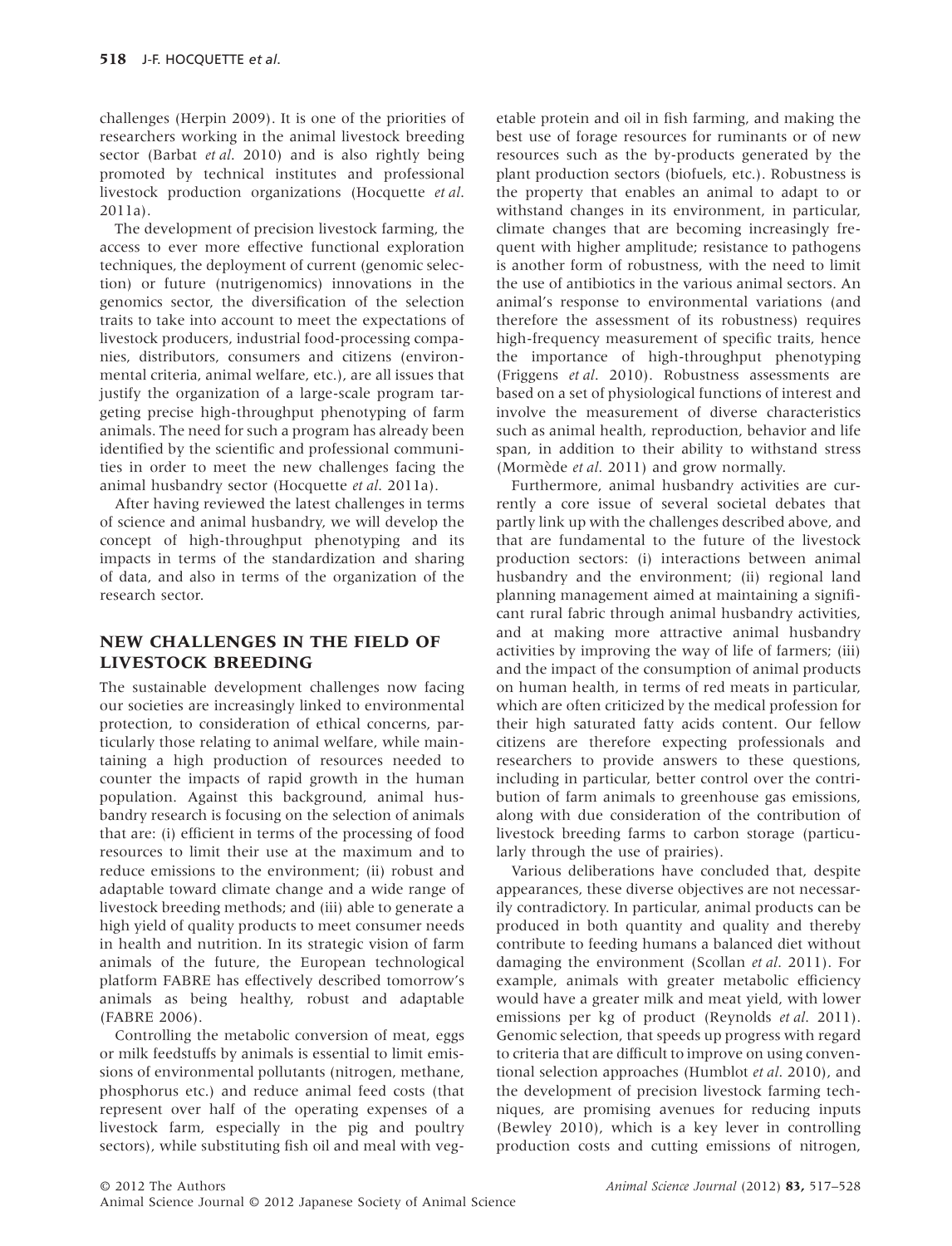challenges (Herpin 2009). It is one of the priorities of researchers working in the animal livestock breeding sector (Barbat *et al*. 2010) and is also rightly being promoted by technical institutes and professional livestock production organizations (Hocquette *et al*. 2011a).

The development of precision livestock farming, the access to ever more effective functional exploration techniques, the deployment of current (genomic selection) or future (nutrigenomics) innovations in the genomics sector, the diversification of the selection traits to take into account to meet the expectations of livestock producers, industrial food-processing companies, distributors, consumers and citizens (environmental criteria, animal welfare, etc.), are all issues that justify the organization of a large-scale program targeting precise high-throughput phenotyping of farm animals. The need for such a program has already been identified by the scientific and professional communities in order to meet the new challenges facing the animal husbandry sector (Hocquette *et al*. 2011a).

After having reviewed the latest challenges in terms of science and animal husbandry, we will develop the concept of high-throughput phenotyping and its impacts in terms of the standardization and sharing of data, and also in terms of the organization of the research sector.

## **NEW CHALLENGES IN THE FIELD OF LIVESTOCK BREEDING**

The sustainable development challenges now facing our societies are increasingly linked to environmental protection, to consideration of ethical concerns, particularly those relating to animal welfare, while maintaining a high production of resources needed to counter the impacts of rapid growth in the human population. Against this background, animal husbandry research is focusing on the selection of animals that are: (i) efficient in terms of the processing of food resources to limit their use at the maximum and to reduce emissions to the environment; (ii) robust and adaptable toward climate change and a wide range of livestock breeding methods; and (iii) able to generate a high yield of quality products to meet consumer needs in health and nutrition. In its strategic vision of farm animals of the future, the European technological platform FABRE has effectively described tomorrow's animals as being healthy, robust and adaptable (FABRE 2006).

Controlling the metabolic conversion of meat, eggs or milk feedstuffs by animals is essential to limit emissions of environmental pollutants (nitrogen, methane, phosphorus etc.) and reduce animal feed costs (that represent over half of the operating expenses of a livestock farm, especially in the pig and poultry sectors), while substituting fish oil and meal with vegetable protein and oil in fish farming, and making the best use of forage resources for ruminants or of new resources such as the by-products generated by the plant production sectors (biofuels, etc.). Robustness is the property that enables an animal to adapt to or withstand changes in its environment, in particular, climate changes that are becoming increasingly frequent with higher amplitude; resistance to pathogens is another form of robustness, with the need to limit the use of antibiotics in the various animal sectors. An animal's response to environmental variations (and therefore the assessment of its robustness) requires high-frequency measurement of specific traits, hence the importance of high-throughput phenotyping (Friggens *et al*. 2010). Robustness assessments are based on a set of physiological functions of interest and involve the measurement of diverse characteristics such as animal health, reproduction, behavior and life span, in addition to their ability to withstand stress (Mormède *et al*. 2011) and grow normally.

Furthermore, animal husbandry activities are currently a core issue of several societal debates that partly link up with the challenges described above, and that are fundamental to the future of the livestock production sectors: (i) interactions between animal husbandry and the environment; (ii) regional land planning management aimed at maintaining a significant rural fabric through animal husbandry activities, and at making more attractive animal husbandry activities by improving the way of life of farmers; (iii) and the impact of the consumption of animal products on human health, in terms of red meats in particular, which are often criticized by the medical profession for their high saturated fatty acids content. Our fellow citizens are therefore expecting professionals and researchers to provide answers to these questions, including in particular, better control over the contribution of farm animals to greenhouse gas emissions, along with due consideration of the contribution of livestock breeding farms to carbon storage (particularly through the use of prairies).

Various deliberations have concluded that, despite appearances, these diverse objectives are not necessarily contradictory. In particular, animal products can be produced in both quantity and quality and thereby contribute to feeding humans a balanced diet without damaging the environment (Scollan *et al*. 2011). For example, animals with greater metabolic efficiency would have a greater milk and meat yield, with lower emissions per kg of product (Reynolds *et al*. 2011). Genomic selection, that speeds up progress with regard to criteria that are difficult to improve on using conventional selection approaches (Humblot *et al*. 2010), and the development of precision livestock farming techniques, are promising avenues for reducing inputs (Bewley 2010), which is a key lever in controlling production costs and cutting emissions of nitrogen,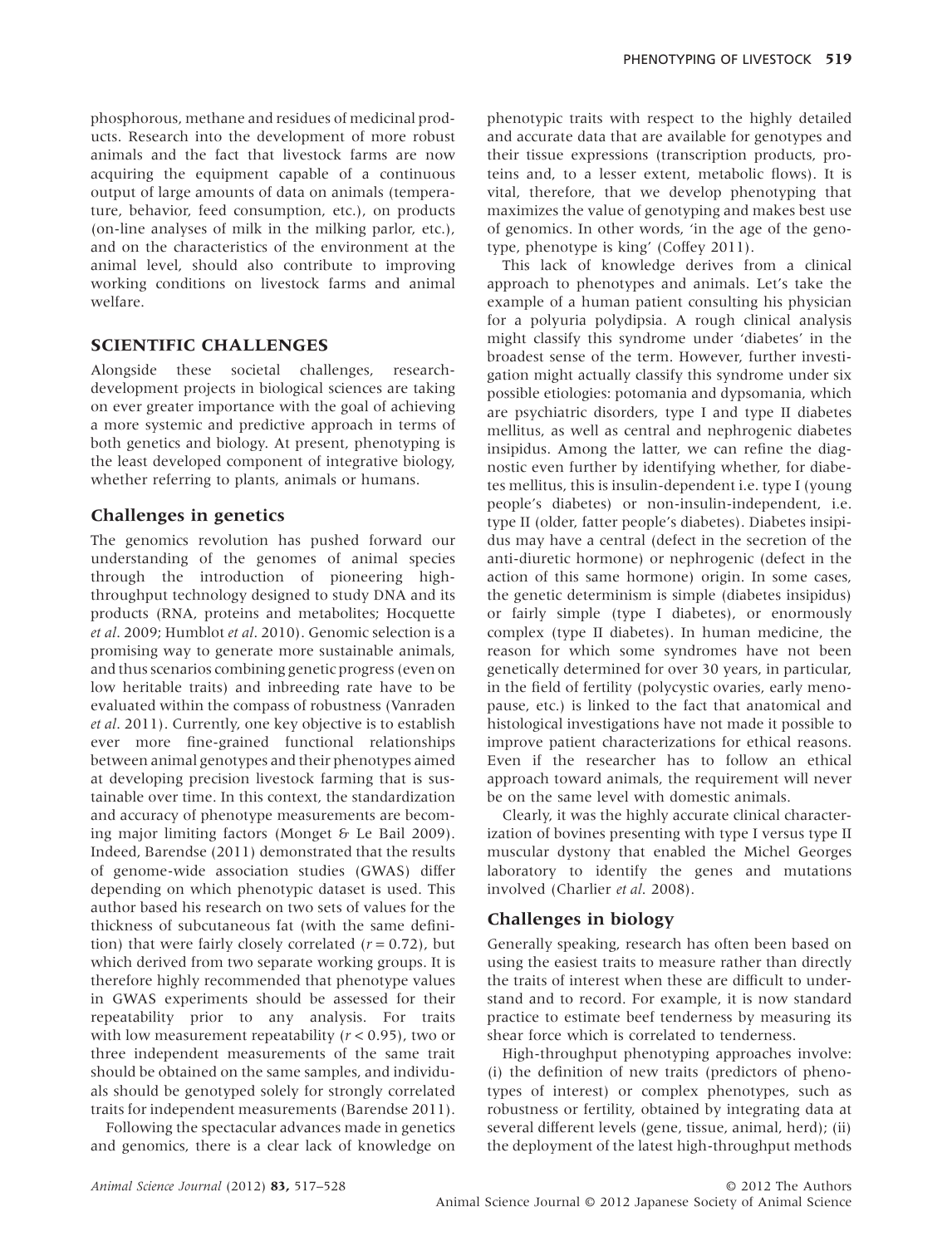phosphorous, methane and residues of medicinal products. Research into the development of more robust animals and the fact that livestock farms are now acquiring the equipment capable of a continuous output of large amounts of data on animals (temperature, behavior, feed consumption, etc.), on products (on-line analyses of milk in the milking parlor, etc.), and on the characteristics of the environment at the animal level, should also contribute to improving working conditions on livestock farms and animal welfare.

#### **SCIENTIFIC CHALLENGES**

Alongside these societal challenges, researchdevelopment projects in biological sciences are taking on ever greater importance with the goal of achieving a more systemic and predictive approach in terms of both genetics and biology. At present, phenotyping is the least developed component of integrative biology, whether referring to plants, animals or humans.

#### **Challenges in genetics**

The genomics revolution has pushed forward our understanding of the genomes of animal species through the introduction of pioneering highthroughput technology designed to study DNA and its products (RNA, proteins and metabolites; Hocquette *et al*. 2009; Humblot *et al*. 2010). Genomic selection is a promising way to generate more sustainable animals, and thus scenarios combining genetic progress (even on low heritable traits) and inbreeding rate have to be evaluated within the compass of robustness (Vanraden *et al*. 2011). Currently, one key objective is to establish ever more fine-grained functional relationships between animal genotypes and their phenotypes aimed at developing precision livestock farming that is sustainable over time. In this context, the standardization and accuracy of phenotype measurements are becoming major limiting factors (Monget & Le Bail 2009). Indeed, Barendse (2011) demonstrated that the results of genome-wide association studies (GWAS) differ depending on which phenotypic dataset is used. This author based his research on two sets of values for the thickness of subcutaneous fat (with the same definition) that were fairly closely correlated  $(r = 0.72)$ , but which derived from two separate working groups. It is therefore highly recommended that phenotype values in GWAS experiments should be assessed for their repeatability prior to any analysis. For traits with low measurement repeatability (*r* < 0.95), two or three independent measurements of the same trait should be obtained on the same samples, and individuals should be genotyped solely for strongly correlated traits for independent measurements (Barendse 2011).

Following the spectacular advances made in genetics and genomics, there is a clear lack of knowledge on phenotypic traits with respect to the highly detailed and accurate data that are available for genotypes and their tissue expressions (transcription products, proteins and, to a lesser extent, metabolic flows). It is vital, therefore, that we develop phenotyping that maximizes the value of genotyping and makes best use of genomics. In other words, 'in the age of the genotype, phenotype is king' (Coffey 2011).

This lack of knowledge derives from a clinical approach to phenotypes and animals. Let's take the example of a human patient consulting his physician for a polyuria polydipsia. A rough clinical analysis might classify this syndrome under 'diabetes' in the broadest sense of the term. However, further investigation might actually classify this syndrome under six possible etiologies: potomania and dypsomania, which are psychiatric disorders, type I and type II diabetes mellitus, as well as central and nephrogenic diabetes insipidus. Among the latter, we can refine the diagnostic even further by identifying whether, for diabetes mellitus, this is insulin-dependent i.e. type I (young people's diabetes) or non-insulin-independent, i.e. type II (older, fatter people's diabetes). Diabetes insipidus may have a central (defect in the secretion of the anti-diuretic hormone) or nephrogenic (defect in the action of this same hormone) origin. In some cases, the genetic determinism is simple (diabetes insipidus) or fairly simple (type I diabetes), or enormously complex (type II diabetes). In human medicine, the reason for which some syndromes have not been genetically determined for over 30 years, in particular, in the field of fertility (polycystic ovaries, early menopause, etc.) is linked to the fact that anatomical and histological investigations have not made it possible to improve patient characterizations for ethical reasons. Even if the researcher has to follow an ethical approach toward animals, the requirement will never be on the same level with domestic animals.

Clearly, it was the highly accurate clinical characterization of bovines presenting with type I versus type II muscular dystony that enabled the Michel Georges laboratory to identify the genes and mutations involved (Charlier *et al*. 2008).

#### **Challenges in biology**

Generally speaking, research has often been based on using the easiest traits to measure rather than directly the traits of interest when these are difficult to understand and to record. For example, it is now standard practice to estimate beef tenderness by measuring its shear force which is correlated to tenderness.

High-throughput phenotyping approaches involve: (i) the definition of new traits (predictors of phenotypes of interest) or complex phenotypes, such as robustness or fertility, obtained by integrating data at several different levels (gene, tissue, animal, herd); (ii) the deployment of the latest high-throughput methods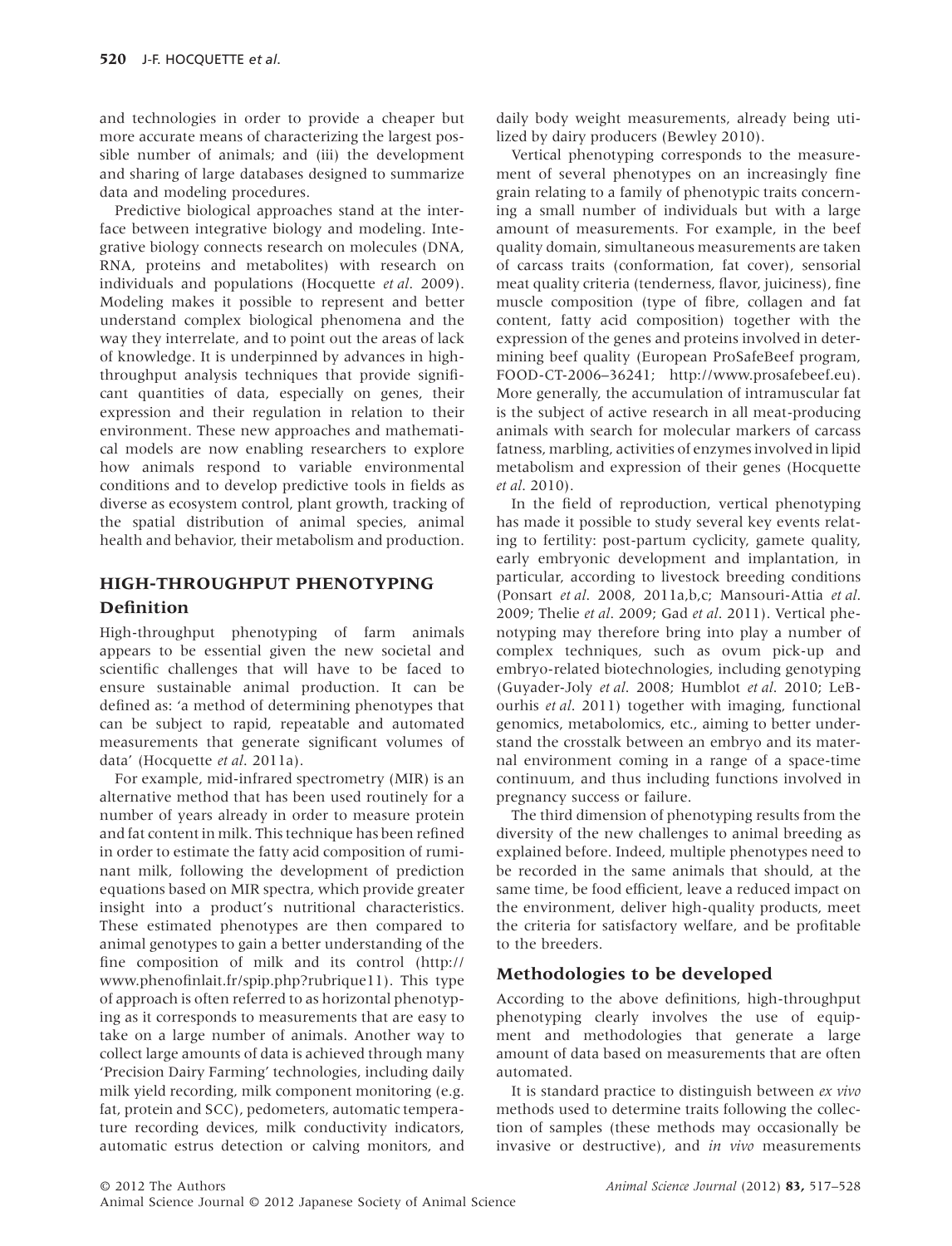and technologies in order to provide a cheaper but more accurate means of characterizing the largest possible number of animals; and (iii) the development and sharing of large databases designed to summarize data and modeling procedures.

Predictive biological approaches stand at the interface between integrative biology and modeling. Integrative biology connects research on molecules (DNA, RNA, proteins and metabolites) with research on individuals and populations (Hocquette *et al*. 2009). Modeling makes it possible to represent and better understand complex biological phenomena and the way they interrelate, and to point out the areas of lack of knowledge. It is underpinned by advances in highthroughput analysis techniques that provide significant quantities of data, especially on genes, their expression and their regulation in relation to their environment. These new approaches and mathematical models are now enabling researchers to explore how animals respond to variable environmental conditions and to develop predictive tools in fields as diverse as ecosystem control, plant growth, tracking of the spatial distribution of animal species, animal health and behavior, their metabolism and production.

# **HIGH-THROUGHPUT PHENOTYPING Definition**

High-throughput phenotyping of farm animals appears to be essential given the new societal and scientific challenges that will have to be faced to ensure sustainable animal production. It can be defined as: 'a method of determining phenotypes that can be subject to rapid, repeatable and automated measurements that generate significant volumes of data' (Hocquette *et al*. 2011a).

For example, mid-infrared spectrometry (MIR) is an alternative method that has been used routinely for a number of years already in order to measure protein and fat content in milk. This technique has been refined in order to estimate the fatty acid composition of ruminant milk, following the development of prediction equations based on MIR spectra, which provide greater insight into a product's nutritional characteristics. These estimated phenotypes are then compared to animal genotypes to gain a better understanding of the fine composition of milk and its control (http:// www.phenofinlait.fr/spip.php?rubrique11). This type of approach is often referred to as horizontal phenotyping as it corresponds to measurements that are easy to take on a large number of animals. Another way to collect large amounts of data is achieved through many 'Precision Dairy Farming' technologies, including daily milk yield recording, milk component monitoring (e.g. fat, protein and SCC), pedometers, automatic temperature recording devices, milk conductivity indicators, automatic estrus detection or calving monitors, and

daily body weight measurements, already being utilized by dairy producers (Bewley 2010).

Vertical phenotyping corresponds to the measurement of several phenotypes on an increasingly fine grain relating to a family of phenotypic traits concerning a small number of individuals but with a large amount of measurements. For example, in the beef quality domain, simultaneous measurements are taken of carcass traits (conformation, fat cover), sensorial meat quality criteria (tenderness, flavor, juiciness), fine muscle composition (type of fibre, collagen and fat content, fatty acid composition) together with the expression of the genes and proteins involved in determining beef quality (European ProSafeBeef program, FOOD-CT-2006–36241; http://www.prosafebeef.eu). More generally, the accumulation of intramuscular fat is the subject of active research in all meat-producing animals with search for molecular markers of carcass fatness, marbling, activities of enzymes involved in lipid metabolism and expression of their genes (Hocquette *et al*. 2010).

In the field of reproduction, vertical phenotyping has made it possible to study several key events relating to fertility: post-partum cyclicity, gamete quality, early embryonic development and implantation, in particular, according to livestock breeding conditions (Ponsart *et al*. 2008, 2011a,b,c; Mansouri-Attia *et al*. 2009; Thelie *et al*. 2009; Gad *et al*. 2011). Vertical phenotyping may therefore bring into play a number of complex techniques, such as ovum pick-up and embryo-related biotechnologies, including genotyping (Guyader-Joly *et al*. 2008; Humblot *et al*. 2010; LeBourhis *et al*. 2011) together with imaging, functional genomics, metabolomics, etc., aiming to better understand the crosstalk between an embryo and its maternal environment coming in a range of a space-time continuum, and thus including functions involved in pregnancy success or failure.

The third dimension of phenotyping results from the diversity of the new challenges to animal breeding as explained before. Indeed, multiple phenotypes need to be recorded in the same animals that should, at the same time, be food efficient, leave a reduced impact on the environment, deliver high-quality products, meet the criteria for satisfactory welfare, and be profitable to the breeders.

# **Methodologies to be developed**

According to the above definitions, high-throughput phenotyping clearly involves the use of equipment and methodologies that generate a large amount of data based on measurements that are often automated.

It is standard practice to distinguish between *ex vivo* methods used to determine traits following the collection of samples (these methods may occasionally be invasive or destructive), and *in vivo* measurements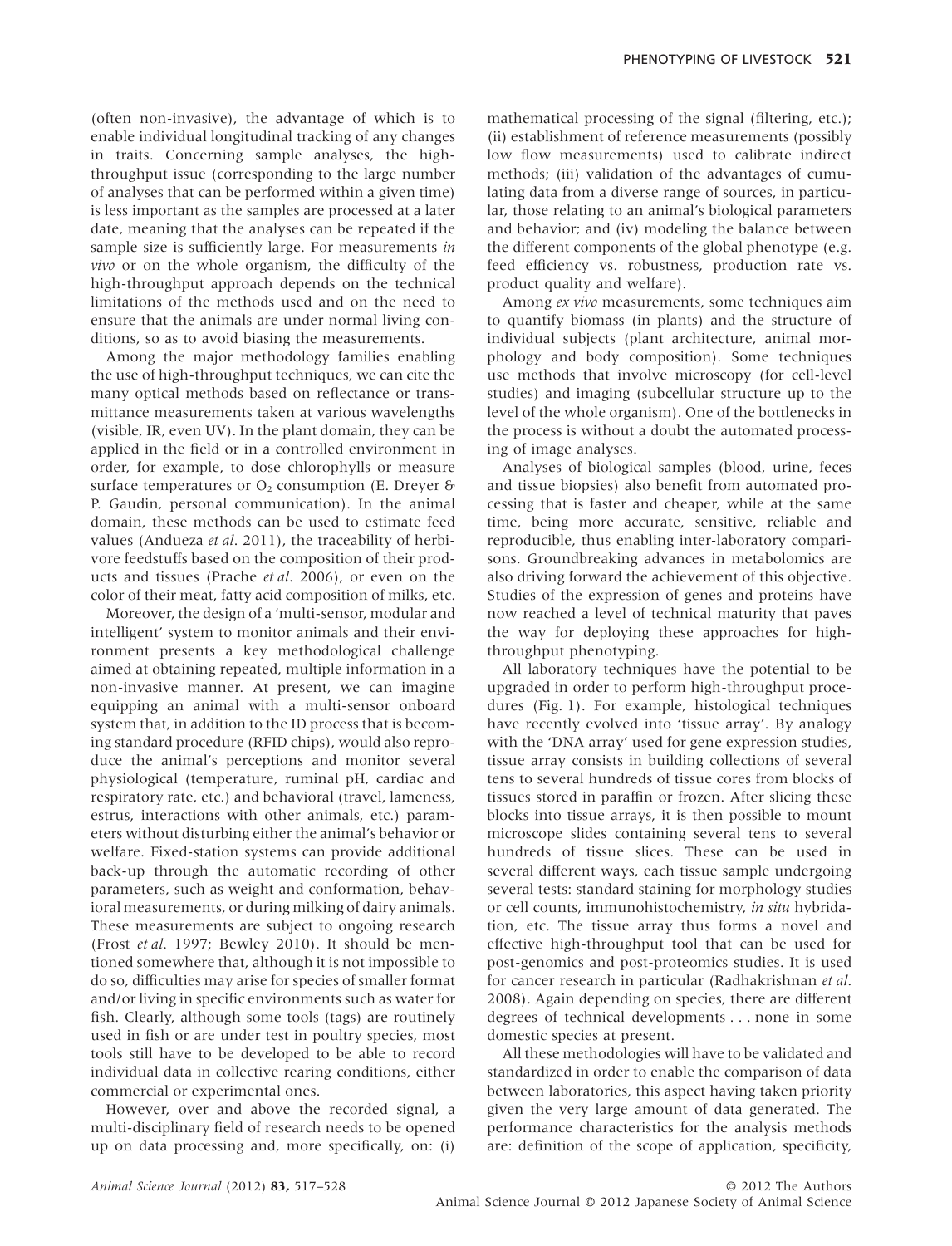(often non-invasive), the advantage of which is to enable individual longitudinal tracking of any changes in traits. Concerning sample analyses, the highthroughput issue (corresponding to the large number of analyses that can be performed within a given time) is less important as the samples are processed at a later date, meaning that the analyses can be repeated if the sample size is sufficiently large. For measurements *in vivo* or on the whole organism, the difficulty of the high-throughput approach depends on the technical limitations of the methods used and on the need to ensure that the animals are under normal living conditions, so as to avoid biasing the measurements.

Among the major methodology families enabling the use of high-throughput techniques, we can cite the many optical methods based on reflectance or transmittance measurements taken at various wavelengths (visible, IR, even UV). In the plant domain, they can be applied in the field or in a controlled environment in order, for example, to dose chlorophylls or measure surface temperatures or  $O<sub>2</sub>$  consumption (E. Dreyer  $\&$ P. Gaudin, personal communication). In the animal domain, these methods can be used to estimate feed values (Andueza *et al*. 2011), the traceability of herbivore feedstuffs based on the composition of their products and tissues (Prache *et al*. 2006), or even on the color of their meat, fatty acid composition of milks, etc.

Moreover, the design of a 'multi-sensor, modular and intelligent' system to monitor animals and their environment presents a key methodological challenge aimed at obtaining repeated, multiple information in a non-invasive manner. At present, we can imagine equipping an animal with a multi-sensor onboard system that, in addition to the ID process that is becoming standard procedure (RFID chips), would also reproduce the animal's perceptions and monitor several physiological (temperature, ruminal pH, cardiac and respiratory rate, etc.) and behavioral (travel, lameness, estrus, interactions with other animals, etc.) parameters without disturbing either the animal's behavior or welfare. Fixed-station systems can provide additional back-up through the automatic recording of other parameters, such as weight and conformation, behavioral measurements, or during milking of dairy animals. These measurements are subject to ongoing research (Frost *et al*. 1997; Bewley 2010). It should be mentioned somewhere that, although it is not impossible to do so, difficulties may arise for species of smaller format and/or living in specific environments such as water for fish. Clearly, although some tools (tags) are routinely used in fish or are under test in poultry species, most tools still have to be developed to be able to record individual data in collective rearing conditions, either commercial or experimental ones.

However, over and above the recorded signal, a multi-disciplinary field of research needs to be opened up on data processing and, more specifically, on: (i) mathematical processing of the signal (filtering, etc.); (ii) establishment of reference measurements (possibly low flow measurements) used to calibrate indirect methods; (iii) validation of the advantages of cumulating data from a diverse range of sources, in particular, those relating to an animal's biological parameters and behavior; and (iv) modeling the balance between the different components of the global phenotype (e.g. feed efficiency vs. robustness, production rate vs. product quality and welfare).

Among *ex vivo* measurements, some techniques aim to quantify biomass (in plants) and the structure of individual subjects (plant architecture, animal morphology and body composition). Some techniques use methods that involve microscopy (for cell-level studies) and imaging (subcellular structure up to the level of the whole organism). One of the bottlenecks in the process is without a doubt the automated processing of image analyses.

Analyses of biological samples (blood, urine, feces and tissue biopsies) also benefit from automated processing that is faster and cheaper, while at the same time, being more accurate, sensitive, reliable and reproducible, thus enabling inter-laboratory comparisons. Groundbreaking advances in metabolomics are also driving forward the achievement of this objective. Studies of the expression of genes and proteins have now reached a level of technical maturity that paves the way for deploying these approaches for highthroughput phenotyping.

All laboratory techniques have the potential to be upgraded in order to perform high-throughput procedures (Fig. 1). For example, histological techniques have recently evolved into 'tissue array'. By analogy with the 'DNA array' used for gene expression studies, tissue array consists in building collections of several tens to several hundreds of tissue cores from blocks of tissues stored in paraffin or frozen. After slicing these blocks into tissue arrays, it is then possible to mount microscope slides containing several tens to several hundreds of tissue slices. These can be used in several different ways, each tissue sample undergoing several tests: standard staining for morphology studies or cell counts, immunohistochemistry, *in situ* hybridation, etc. The tissue array thus forms a novel and effective high-throughput tool that can be used for post-genomics and post-proteomics studies. It is used for cancer research in particular (Radhakrishnan *et al*. 2008). Again depending on species, there are different degrees of technical developments... none in some domestic species at present.

All these methodologies will have to be validated and standardized in order to enable the comparison of data between laboratories, this aspect having taken priority given the very large amount of data generated. The performance characteristics for the analysis methods are: definition of the scope of application, specificity,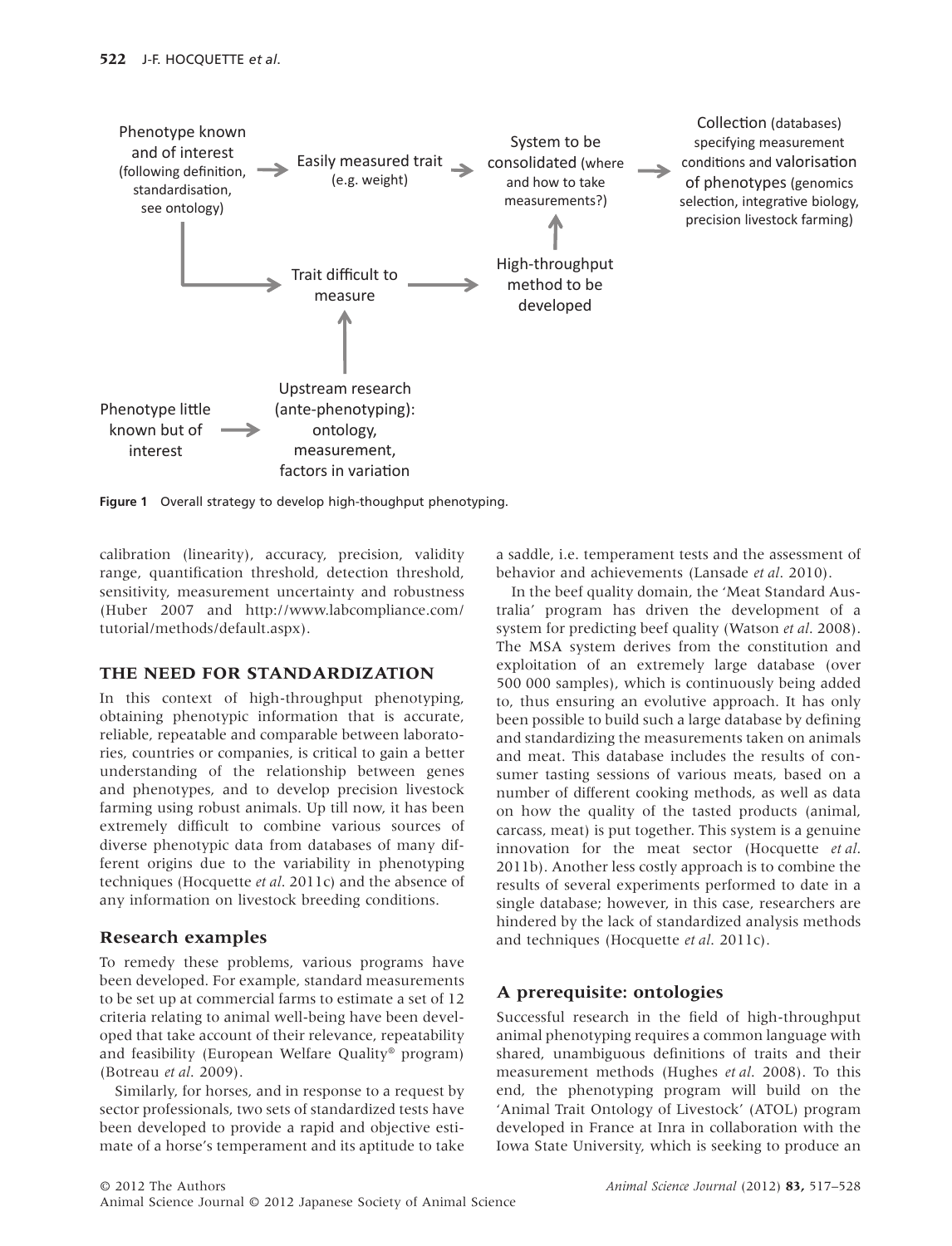

**Figure 1** Overall strategy to develop high-thoughput phenotyping.

calibration (linearity), accuracy, precision, validity range, quantification threshold, detection threshold, sensitivity, measurement uncertainty and robustness (Huber 2007 and http://www.labcompliance.com/ tutorial/methods/default.aspx).

## **THE NEED FOR STANDARDIZATION**

In this context of high-throughput phenotyping, obtaining phenotypic information that is accurate, reliable, repeatable and comparable between laboratories, countries or companies, is critical to gain a better understanding of the relationship between genes and phenotypes, and to develop precision livestock farming using robust animals. Up till now, it has been extremely difficult to combine various sources of diverse phenotypic data from databases of many different origins due to the variability in phenotyping techniques (Hocquette *et al*. 2011c) and the absence of any information on livestock breeding conditions.

## **Research examples**

To remedy these problems, various programs have been developed. For example, standard measurements to be set up at commercial farms to estimate a set of 12 criteria relating to animal well-being have been developed that take account of their relevance, repeatability and feasibility (European Welfare Quality® program) (Botreau *et al*. 2009).

Similarly, for horses, and in response to a request by sector professionals, two sets of standardized tests have been developed to provide a rapid and objective estimate of a horse's temperament and its aptitude to take

a saddle, i.e. temperament tests and the assessment of behavior and achievements (Lansade *et al*. 2010).

In the beef quality domain, the 'Meat Standard Australia' program has driven the development of a system for predicting beef quality (Watson *et al*. 2008). The MSA system derives from the constitution and exploitation of an extremely large database (over 500 000 samples), which is continuously being added to, thus ensuring an evolutive approach. It has only been possible to build such a large database by defining and standardizing the measurements taken on animals and meat. This database includes the results of consumer tasting sessions of various meats, based on a number of different cooking methods, as well as data on how the quality of the tasted products (animal, carcass, meat) is put together. This system is a genuine innovation for the meat sector (Hocquette *et al*. 2011b). Another less costly approach is to combine the results of several experiments performed to date in a single database; however, in this case, researchers are hindered by the lack of standardized analysis methods and techniques (Hocquette *et al*. 2011c).

# **A prerequisite: ontologies**

Successful research in the field of high-throughput animal phenotyping requires a common language with shared, unambiguous definitions of traits and their measurement methods (Hughes *et al*. 2008). To this end, the phenotyping program will build on the 'Animal Trait Ontology of Livestock' (ATOL) program developed in France at Inra in collaboration with the Iowa State University, which is seeking to produce an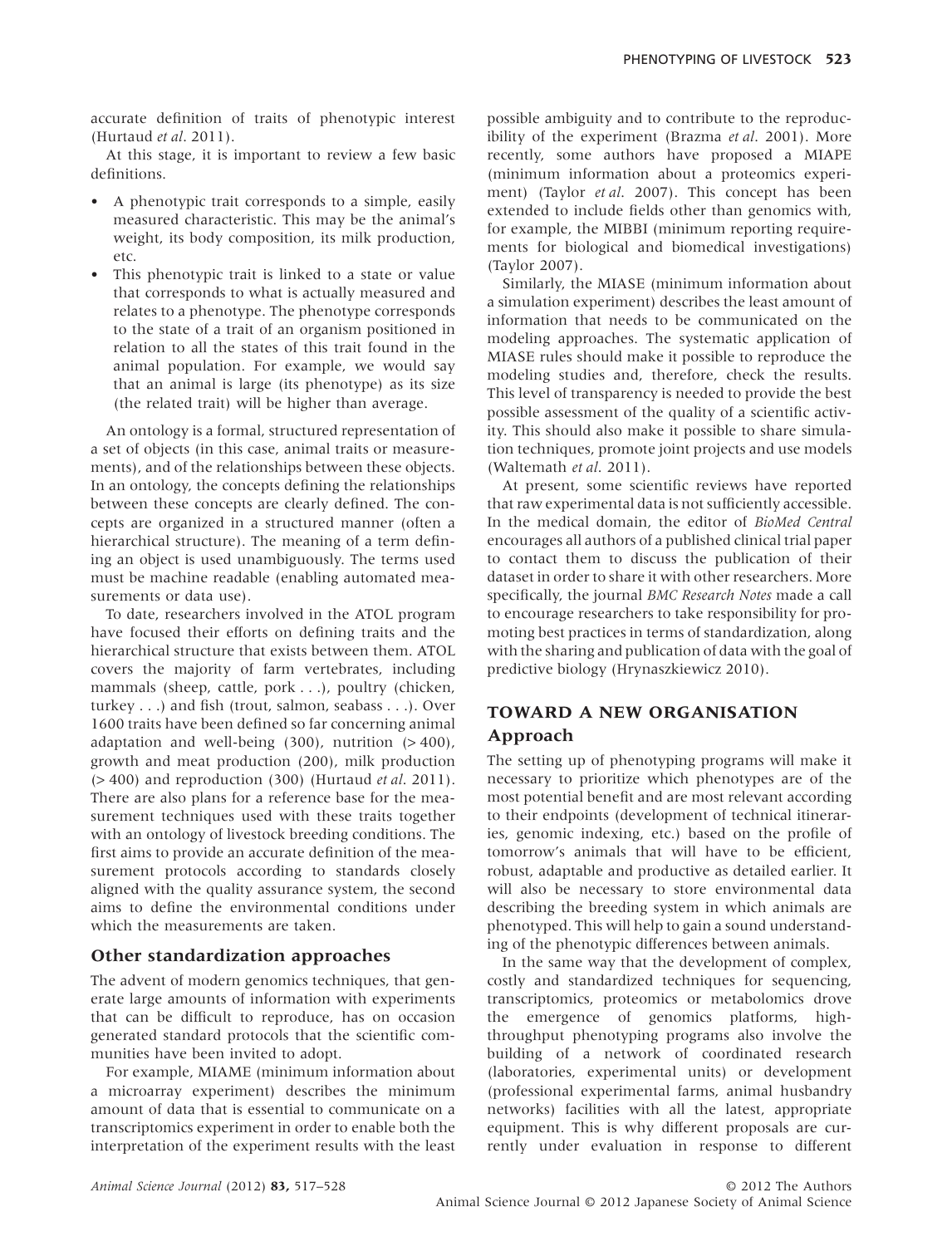accurate definition of traits of phenotypic interest (Hurtaud *et al*. 2011).

At this stage, it is important to review a few basic definitions.

- A phenotypic trait corresponds to a simple, easily measured characteristic. This may be the animal's weight, its body composition, its milk production, etc.
- This phenotypic trait is linked to a state or value that corresponds to what is actually measured and relates to a phenotype. The phenotype corresponds to the state of a trait of an organism positioned in relation to all the states of this trait found in the animal population. For example, we would say that an animal is large (its phenotype) as its size (the related trait) will be higher than average.

An ontology is a formal, structured representation of a set of objects (in this case, animal traits or measurements), and of the relationships between these objects. In an ontology, the concepts defining the relationships between these concepts are clearly defined. The concepts are organized in a structured manner (often a hierarchical structure). The meaning of a term defining an object is used unambiguously. The terms used must be machine readable (enabling automated measurements or data use).

To date, researchers involved in the ATOL program have focused their efforts on defining traits and the hierarchical structure that exists between them. ATOL covers the majority of farm vertebrates, including mammals (sheep, cattle, pork . . .), poultry (chicken, turkey . . .) and fish (trout, salmon, seabass . . .). Over 1600 traits have been defined so far concerning animal adaptation and well-being (300), nutrition (> 400), growth and meat production (200), milk production (> 400) and reproduction (300) (Hurtaud *et al*. 2011). There are also plans for a reference base for the measurement techniques used with these traits together with an ontology of livestock breeding conditions. The first aims to provide an accurate definition of the measurement protocols according to standards closely aligned with the quality assurance system, the second aims to define the environmental conditions under which the measurements are taken.

#### **Other standardization approaches**

The advent of modern genomics techniques, that generate large amounts of information with experiments that can be difficult to reproduce, has on occasion generated standard protocols that the scientific communities have been invited to adopt.

For example, MIAME (minimum information about a microarray experiment) describes the minimum amount of data that is essential to communicate on a transcriptomics experiment in order to enable both the interpretation of the experiment results with the least

possible ambiguity and to contribute to the reproducibility of the experiment (Brazma *et al*. 2001). More recently, some authors have proposed a MIAPE (minimum information about a proteomics experiment) (Taylor *et al*. 2007). This concept has been extended to include fields other than genomics with, for example, the MIBBI (minimum reporting requirements for biological and biomedical investigations) (Taylor 2007).

Similarly, the MIASE (minimum information about a simulation experiment) describes the least amount of information that needs to be communicated on the modeling approaches. The systematic application of MIASE rules should make it possible to reproduce the modeling studies and, therefore, check the results. This level of transparency is needed to provide the best possible assessment of the quality of a scientific activity. This should also make it possible to share simulation techniques, promote joint projects and use models (Waltemath *et al*. 2011).

At present, some scientific reviews have reported that raw experimental data is not sufficiently accessible. In the medical domain, the editor of *BioMed Central* encourages all authors of a published clinical trial paper to contact them to discuss the publication of their dataset in order to share it with other researchers. More specifically, the journal *BMC Research Notes* made a call to encourage researchers to take responsibility for promoting best practices in terms of standardization, along with the sharing and publication of data with the goal of predictive biology (Hrynaszkiewicz 2010).

# **TOWARD A NEW ORGANISATION Approach**

The setting up of phenotyping programs will make it necessary to prioritize which phenotypes are of the most potential benefit and are most relevant according to their endpoints (development of technical itineraries, genomic indexing, etc.) based on the profile of tomorrow's animals that will have to be efficient, robust, adaptable and productive as detailed earlier. It will also be necessary to store environmental data describing the breeding system in which animals are phenotyped. This will help to gain a sound understanding of the phenotypic differences between animals.

In the same way that the development of complex, costly and standardized techniques for sequencing, transcriptomics, proteomics or metabolomics drove the emergence of genomics platforms, highthroughput phenotyping programs also involve the building of a network of coordinated research (laboratories, experimental units) or development (professional experimental farms, animal husbandry networks) facilities with all the latest, appropriate equipment. This is why different proposals are currently under evaluation in response to different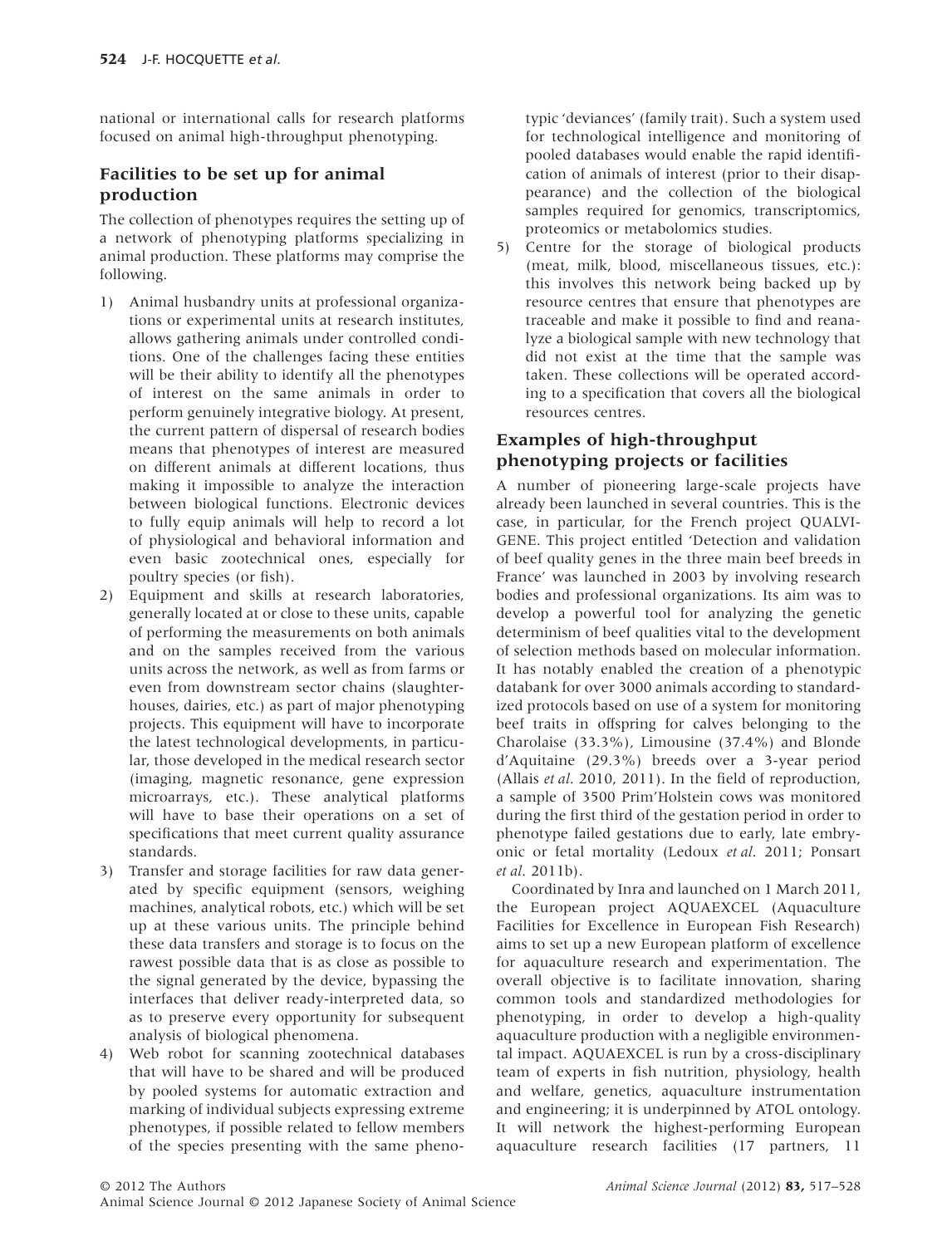national or international calls for research platforms focused on animal high-throughput phenotyping.

# **Facilities to be set up for animal production**

The collection of phenotypes requires the setting up of a network of phenotyping platforms specializing in animal production. These platforms may comprise the following.

- 1) Animal husbandry units at professional organizations or experimental units at research institutes, allows gathering animals under controlled conditions. One of the challenges facing these entities will be their ability to identify all the phenotypes of interest on the same animals in order to perform genuinely integrative biology. At present, the current pattern of dispersal of research bodies means that phenotypes of interest are measured on different animals at different locations, thus making it impossible to analyze the interaction between biological functions. Electronic devices to fully equip animals will help to record a lot of physiological and behavioral information and even basic zootechnical ones, especially for poultry species (or fish).
- 2) Equipment and skills at research laboratories, generally located at or close to these units, capable of performing the measurements on both animals and on the samples received from the various units across the network, as well as from farms or even from downstream sector chains (slaughterhouses, dairies, etc.) as part of major phenotyping projects. This equipment will have to incorporate the latest technological developments, in particular, those developed in the medical research sector (imaging, magnetic resonance, gene expression microarrays, etc.). These analytical platforms will have to base their operations on a set of specifications that meet current quality assurance standards.
- 3) Transfer and storage facilities for raw data generated by specific equipment (sensors, weighing machines, analytical robots, etc.) which will be set up at these various units. The principle behind these data transfers and storage is to focus on the rawest possible data that is as close as possible to the signal generated by the device, bypassing the interfaces that deliver ready-interpreted data, so as to preserve every opportunity for subsequent analysis of biological phenomena.
- 4) Web robot for scanning zootechnical databases that will have to be shared and will be produced by pooled systems for automatic extraction and marking of individual subjects expressing extreme phenotypes, if possible related to fellow members of the species presenting with the same pheno-

typic 'deviances' (family trait). Such a system used for technological intelligence and monitoring of pooled databases would enable the rapid identification of animals of interest (prior to their disappearance) and the collection of the biological samples required for genomics, transcriptomics, proteomics or metabolomics studies.

5) Centre for the storage of biological products (meat, milk, blood, miscellaneous tissues, etc.): this involves this network being backed up by resource centres that ensure that phenotypes are traceable and make it possible to find and reanalyze a biological sample with new technology that did not exist at the time that the sample was taken. These collections will be operated according to a specification that covers all the biological resources centres.

# **Examples of high-throughput phenotyping projects or facilities**

A number of pioneering large-scale projects have already been launched in several countries. This is the case, in particular, for the French project QUALVI-GENE. This project entitled 'Detection and validation of beef quality genes in the three main beef breeds in France' was launched in 2003 by involving research bodies and professional organizations. Its aim was to develop a powerful tool for analyzing the genetic determinism of beef qualities vital to the development of selection methods based on molecular information. It has notably enabled the creation of a phenotypic databank for over 3000 animals according to standardized protocols based on use of a system for monitoring beef traits in offspring for calves belonging to the Charolaise (33.3%), Limousine (37.4%) and Blonde d'Aquitaine (29.3%) breeds over a 3-year period (Allais *et al*. 2010, 2011). In the field of reproduction, a sample of 3500 Prim'Holstein cows was monitored during the first third of the gestation period in order to phenotype failed gestations due to early, late embryonic or fetal mortality (Ledoux *et al*. 2011; Ponsart *et al*. 2011b).

Coordinated by Inra and launched on 1 March 2011, the European project AQUAEXCEL (Aquaculture Facilities for Excellence in European Fish Research) aims to set up a new European platform of excellence for aquaculture research and experimentation. The overall objective is to facilitate innovation, sharing common tools and standardized methodologies for phenotyping, in order to develop a high-quality aquaculture production with a negligible environmental impact. AQUAEXCEL is run by a cross-disciplinary team of experts in fish nutrition, physiology, health and welfare, genetics, aquaculture instrumentation and engineering; it is underpinned by ATOL ontology. It will network the highest-performing European aquaculture research facilities (17 partners, 11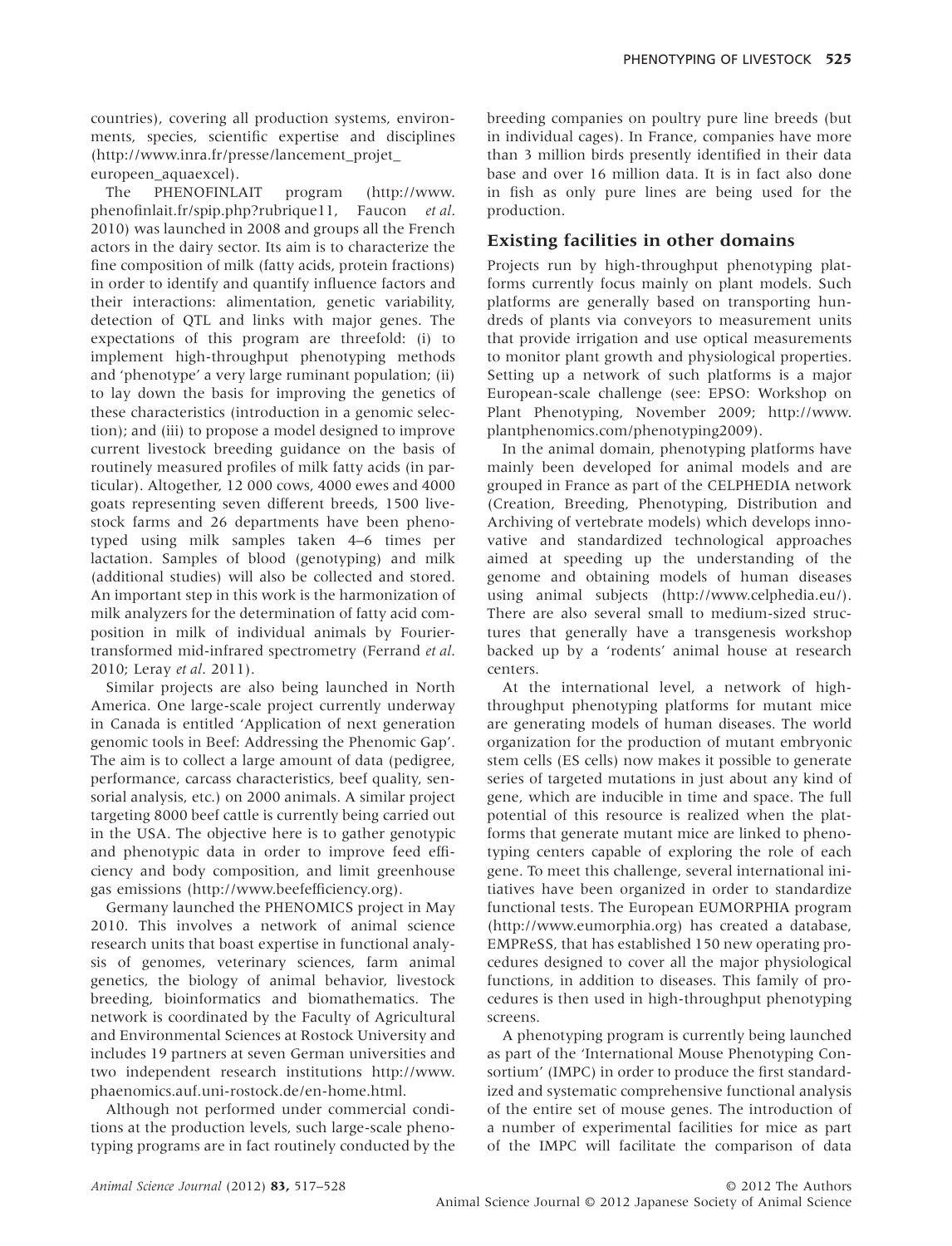countries), covering all production systems, environments, species, scientific expertise and disciplines (http://www.inra.fr/presse/lancement\_projet\_ europeen\_aquaexcel).

The PHENOFINLAIT program (http://www. phenofinlait.fr/spip.php?rubrique11, Faucon *et al*. 2010) was launched in 2008 and groups all the French actors in the dairy sector. Its aim is to characterize the fine composition of milk (fatty acids, protein fractions) in order to identify and quantify influence factors and their interactions: alimentation, genetic variability, detection of QTL and links with major genes. The expectations of this program are threefold: (i) to implement high-throughput phenotyping methods and 'phenotype' a very large ruminant population; (ii) to lay down the basis for improving the genetics of these characteristics (introduction in a genomic selection); and (iii) to propose a model designed to improve current livestock breeding guidance on the basis of routinely measured profiles of milk fatty acids (in particular). Altogether, 12 000 cows, 4000 ewes and 4000 goats representing seven different breeds, 1500 livestock farms and 26 departments have been phenotyped using milk samples taken 4–6 times per lactation. Samples of blood (genotyping) and milk (additional studies) will also be collected and stored. An important step in this work is the harmonization of milk analyzers for the determination of fatty acid composition in milk of individual animals by Fouriertransformed mid-infrared spectrometry (Ferrand *et al*. 2010; Leray *et al*. 2011).

Similar projects are also being launched in North America. One large-scale project currently underway in Canada is entitled 'Application of next generation genomic tools in Beef: Addressing the Phenomic Gap'. The aim is to collect a large amount of data (pedigree, performance, carcass characteristics, beef quality, sensorial analysis, etc.) on 2000 animals. A similar project targeting 8000 beef cattle is currently being carried out in the USA. The objective here is to gather genotypic and phenotypic data in order to improve feed efficiency and body composition, and limit greenhouse gas emissions (http://www.beefefficiency.org).

Germany launched the PHENOMICS project in May 2010. This involves a network of animal science research units that boast expertise in functional analysis of genomes, veterinary sciences, farm animal genetics, the biology of animal behavior, livestock breeding, bioinformatics and biomathematics. The network is coordinated by the Faculty of Agricultural and Environmental Sciences at Rostock University and includes 19 partners at seven German universities and two independent research institutions http://www. phaenomics.auf.uni-rostock.de/en-home.html.

Although not performed under commercial conditions at the production levels, such large-scale phenotyping programs are in fact routinely conducted by the breeding companies on poultry pure line breeds (but in individual cages). In France, companies have more than 3 million birds presently identified in their data base and over 16 million data. It is in fact also done in fish as only pure lines are being used for the production.

## **Existing facilities in other domains**

Projects run by high-throughput phenotyping platforms currently focus mainly on plant models. Such platforms are generally based on transporting hundreds of plants via conveyors to measurement units that provide irrigation and use optical measurements to monitor plant growth and physiological properties. Setting up a network of such platforms is a major European-scale challenge (see: EPSO: Workshop on Plant Phenotyping, November 2009; http://www. plantphenomics.com/phenotyping2009).

In the animal domain, phenotyping platforms have mainly been developed for animal models and are grouped in France as part of the CELPHEDIA network (Creation, Breeding, Phenotyping, Distribution and Archiving of vertebrate models) which develops innovative and standardized technological approaches aimed at speeding up the understanding of the genome and obtaining models of human diseases using animal subjects (http://www.celphedia.eu/). There are also several small to medium-sized structures that generally have a transgenesis workshop backed up by a 'rodents' animal house at research centers.

At the international level, a network of highthroughput phenotyping platforms for mutant mice are generating models of human diseases. The world organization for the production of mutant embryonic stem cells (ES cells) now makes it possible to generate series of targeted mutations in just about any kind of gene, which are inducible in time and space. The full potential of this resource is realized when the platforms that generate mutant mice are linked to phenotyping centers capable of exploring the role of each gene. To meet this challenge, several international initiatives have been organized in order to standardize functional tests. The European EUMORPHIA program (http://www.eumorphia.org) has created a database, EMPReSS, that has established 150 new operating procedures designed to cover all the major physiological functions, in addition to diseases. This family of procedures is then used in high-throughput phenotyping screens.

A phenotyping program is currently being launched as part of the 'International Mouse Phenotyping Consortium' (IMPC) in order to produce the first standardized and systematic comprehensive functional analysis of the entire set of mouse genes. The introduction of a number of experimental facilities for mice as part of the IMPC will facilitate the comparison of data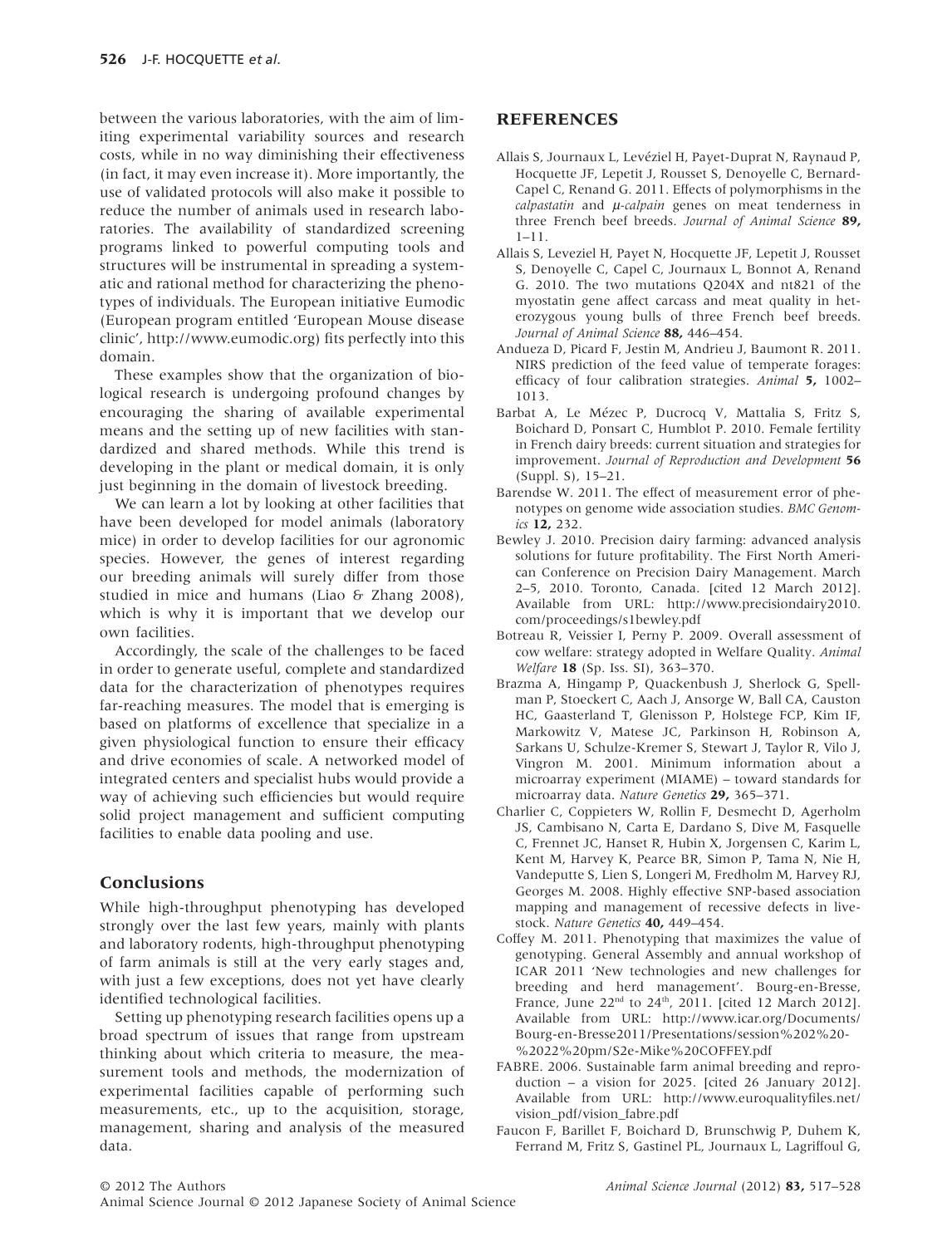between the various laboratories, with the aim of limiting experimental variability sources and research costs, while in no way diminishing their effectiveness (in fact, it may even increase it). More importantly, the use of validated protocols will also make it possible to reduce the number of animals used in research laboratories. The availability of standardized screening programs linked to powerful computing tools and structures will be instrumental in spreading a systematic and rational method for characterizing the phenotypes of individuals. The European initiative Eumodic (European program entitled 'European Mouse disease clinic', http://www.eumodic.org) fits perfectly into this domain.

These examples show that the organization of biological research is undergoing profound changes by encouraging the sharing of available experimental means and the setting up of new facilities with standardized and shared methods. While this trend is developing in the plant or medical domain, it is only just beginning in the domain of livestock breeding.

We can learn a lot by looking at other facilities that have been developed for model animals (laboratory mice) in order to develop facilities for our agronomic species. However, the genes of interest regarding our breeding animals will surely differ from those studied in mice and humans (Liao & Zhang 2008), which is why it is important that we develop our own facilities.

Accordingly, the scale of the challenges to be faced in order to generate useful, complete and standardized data for the characterization of phenotypes requires far-reaching measures. The model that is emerging is based on platforms of excellence that specialize in a given physiological function to ensure their efficacy and drive economies of scale. A networked model of integrated centers and specialist hubs would provide a way of achieving such efficiencies but would require solid project management and sufficient computing facilities to enable data pooling and use.

## **Conclusions**

While high-throughput phenotyping has developed strongly over the last few years, mainly with plants and laboratory rodents, high-throughput phenotyping of farm animals is still at the very early stages and, with just a few exceptions, does not yet have clearly identified technological facilities.

Setting up phenotyping research facilities opens up a broad spectrum of issues that range from upstream thinking about which criteria to measure, the measurement tools and methods, the modernization of experimental facilities capable of performing such measurements, etc., up to the acquisition, storage, management, sharing and analysis of the measured data.

#### **REFERENCES**

- Allais S, Journaux L, Levéziel H, Payet-Duprat N, Raynaud P, Hocquette JF, Lepetit J, Rousset S, Denoyelle C, Bernard-Capel C, Renand G. 2011. Effects of polymorphisms in the *calpastatin* and  $\mu$ -*calpain* genes on meat tenderness in three French beef breeds. *Journal of Animal Science* **89,** 1–11.
- Allais S, Leveziel H, Payet N, Hocquette JF, Lepetit J, Rousset S, Denoyelle C, Capel C, Journaux L, Bonnot A, Renand G. 2010. The two mutations Q204X and nt821 of the myostatin gene affect carcass and meat quality in heterozygous young bulls of three French beef breeds. *Journal of Animal Science* **88,** 446–454.
- Andueza D, Picard F, Jestin M, Andrieu J, Baumont R. 2011. NIRS prediction of the feed value of temperate forages: efficacy of four calibration strategies. *Animal* **5,** 1002– 1013.
- Barbat A, Le Mézec P, Ducrocq V, Mattalia S, Fritz S, Boichard D, Ponsart C, Humblot P. 2010. Female fertility in French dairy breeds: current situation and strategies for improvement. *Journal of Reproduction and Development* **56** (Suppl. S), 15–21.
- Barendse W. 2011. The effect of measurement error of phenotypes on genome wide association studies. *BMC Genomics* **12,** 232.
- Bewley J. 2010. Precision dairy farming: advanced analysis solutions for future profitability. The First North American Conference on Precision Dairy Management. March 2–5, 2010. Toronto, Canada. [cited 12 March 2012]. Available from URL: http://www.precisiondairy2010. com/proceedings/s1bewley.pdf
- Botreau R, Veissier I, Perny P. 2009. Overall assessment of cow welfare: strategy adopted in Welfare Quality. *Animal Welfare* **18** (Sp. Iss. SI), 363–370.
- Brazma A, Hingamp P, Quackenbush J, Sherlock G, Spellman P, Stoeckert C, Aach J, Ansorge W, Ball CA, Causton HC, Gaasterland T, Glenisson P, Holstege FCP, Kim IF, Markowitz V, Matese JC, Parkinson H, Robinson A, Sarkans U, Schulze-Kremer S, Stewart J, Taylor R, Vilo J, Vingron M. 2001. Minimum information about a microarray experiment (MIAME) – toward standards for microarray data. *Nature Genetics* **29,** 365–371.
- Charlier C, Coppieters W, Rollin F, Desmecht D, Agerholm JS, Cambisano N, Carta E, Dardano S, Dive M, Fasquelle C, Frennet JC, Hanset R, Hubin X, Jorgensen C, Karim L, Kent M, Harvey K, Pearce BR, Simon P, Tama N, Nie H, Vandeputte S, Lien S, Longeri M, Fredholm M, Harvey RJ, Georges M. 2008. Highly effective SNP-based association mapping and management of recessive defects in livestock. *Nature Genetics* **40,** 449–454.
- Coffey M. 2011. Phenotyping that maximizes the value of genotyping. General Assembly and annual workshop of ICAR 2011 'New technologies and new challenges for breeding and herd management'. Bourg-en-Bresse, France, June  $22^{nd}$  to  $24^{th}$ , 2011. [cited 12 March 2012]. Available from URL: http://www.icar.org/Documents/ Bourg-en-Bresse2011/Presentations/session%202%20- %2022%20pm/S2e-Mike%20COFFEY.pdf
- FABRE. 2006. Sustainable farm animal breeding and reproduction – a vision for 2025. [cited 26 January 2012]. Available from URL: http://www.euroqualityfiles.net/ vision\_pdf/vision\_fabre.pdf
- Faucon F, Barillet F, Boichard D, Brunschwig P, Duhem K, Ferrand M, Fritz S, Gastinel PL, Journaux L, Lagriffoul G,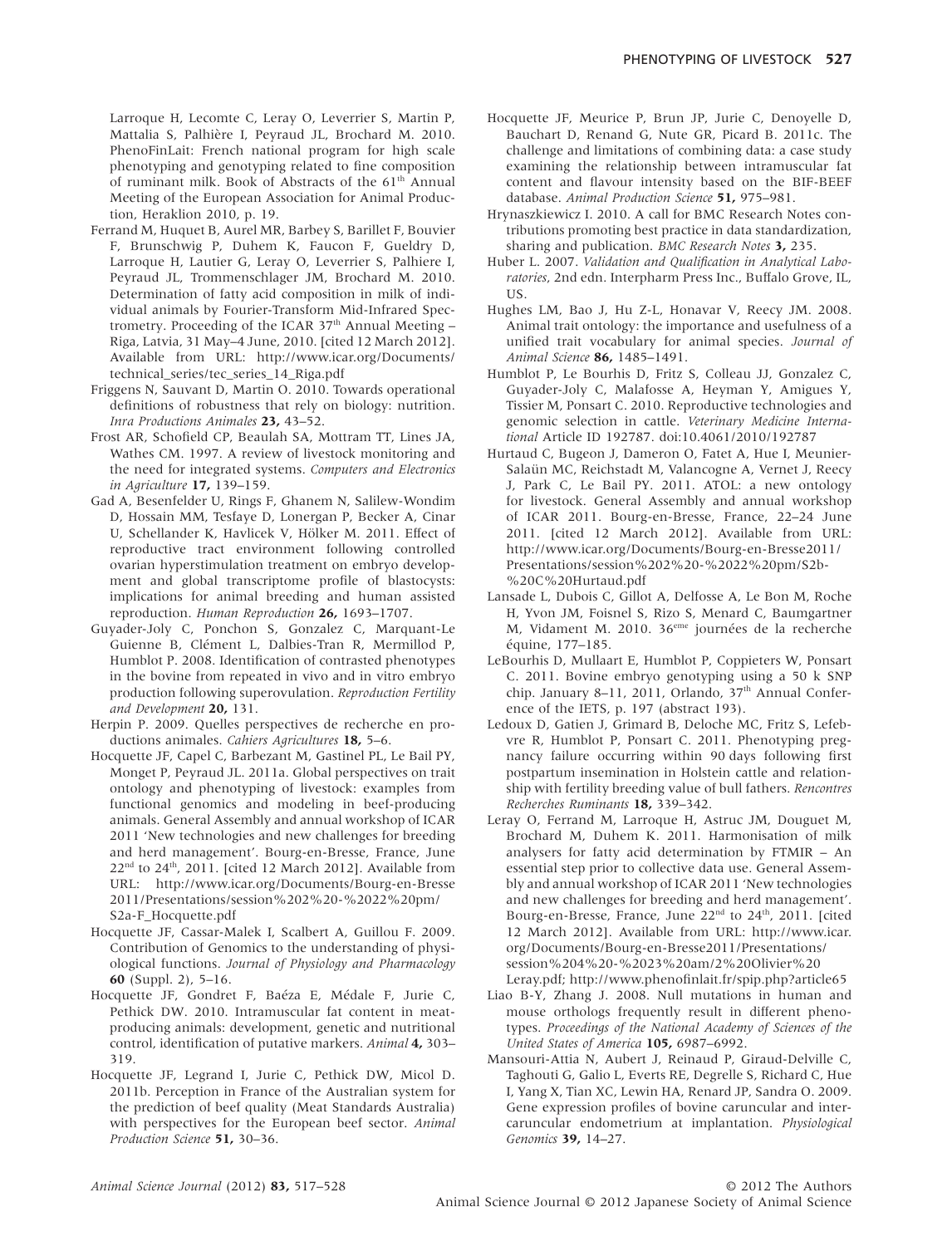Larroque H, Lecomte C, Leray O, Leverrier S, Martin P, Mattalia S, Palhière I, Peyraud JL, Brochard M. 2010. PhenoFinLait: French national program for high scale phenotyping and genotyping related to fine composition of ruminant milk. Book of Abstracts of the 61<sup>th</sup> Annual Meeting of the European Association for Animal Production, Heraklion 2010, p. 19.

- Ferrand M, Huquet B, Aurel MR, Barbey S, Barillet F, Bouvier F, Brunschwig P, Duhem K, Faucon F, Gueldry D, Larroque H, Lautier G, Leray O, Leverrier S, Palhiere I, Peyraud JL, Trommenschlager JM, Brochard M. 2010. Determination of fatty acid composition in milk of individual animals by Fourier-Transform Mid-Infrared Spectrometry. Proceeding of the ICAR  $37<sup>th</sup>$  Annual Meeting – Riga, Latvia, 31 May–4 June, 2010. [cited 12 March 2012]. Available from URL: http://www.icar.org/Documents/ technical\_series/tec\_series\_14\_Riga.pdf
- Friggens N, Sauvant D, Martin O. 2010. Towards operational definitions of robustness that rely on biology: nutrition. *Inra Productions Animales* **23,** 43–52.
- Frost AR, Schofield CP, Beaulah SA, Mottram TT, Lines JA, Wathes CM. 1997. A review of livestock monitoring and the need for integrated systems. *Computers and Electronics in Agriculture* **17,** 139–159.
- Gad A, Besenfelder U, Rings F, Ghanem N, Salilew-Wondim D, Hossain MM, Tesfaye D, Lonergan P, Becker A, Cinar U, Schellander K, Havlicek V, Hölker M. 2011. Effect of reproductive tract environment following controlled ovarian hyperstimulation treatment on embryo development and global transcriptome profile of blastocysts: implications for animal breeding and human assisted reproduction. *Human Reproduction* **26,** 1693–1707.
- Guyader-Joly C, Ponchon S, Gonzalez C, Marquant-Le Guienne B, Clément L, Dalbies-Tran R, Mermillod P, Humblot P. 2008. Identification of contrasted phenotypes in the bovine from repeated in vivo and in vitro embryo production following superovulation. *Reproduction Fertility and Development* **20,** 131.
- Herpin P. 2009. Quelles perspectives de recherche en productions animales. *Cahiers Agricultures* **18,** 5–6.
- Hocquette JF, Capel C, Barbezant M, Gastinel PL, Le Bail PY, Monget P, Peyraud JL. 2011a. Global perspectives on trait ontology and phenotyping of livestock: examples from functional genomics and modeling in beef-producing animals. General Assembly and annual workshop of ICAR 2011 'New technologies and new challenges for breeding and herd management'. Bourg-en-Bresse, France, June  $22<sup>nd</sup>$  to  $24<sup>th</sup>$ , 2011. [cited 12 March 2012]. Available from URL: http://www.icar.org/Documents/Bourg-en-Bresse 2011/Presentations/session%202%20-%2022%20pm/ S2a-F\_Hocquette.pdf
- Hocquette JF, Cassar-Malek I, Scalbert A, Guillou F. 2009. Contribution of Genomics to the understanding of physiological functions. *Journal of Physiology and Pharmacology* **60** (Suppl. 2), 5–16.
- Hocquette JF, Gondret F, Baéza E, Médale F, Jurie C, Pethick DW. 2010. Intramuscular fat content in meatproducing animals: development, genetic and nutritional control, identification of putative markers. *Animal* **4,** 303– 319.
- Hocquette JF, Legrand I, Jurie C, Pethick DW, Micol D. 2011b. Perception in France of the Australian system for the prediction of beef quality (Meat Standards Australia) with perspectives for the European beef sector. *Animal Production Science* **51,** 30–36.
- Hocquette JF, Meurice P, Brun JP, Jurie C, Denoyelle D, Bauchart D, Renand G, Nute GR, Picard B. 2011c. The challenge and limitations of combining data: a case study examining the relationship between intramuscular fat content and flavour intensity based on the BIF-BEEF database. *Animal Production Science* **51,** 975–981.
- Hrynaszkiewicz I. 2010. A call for BMC Research Notes contributions promoting best practice in data standardization, sharing and publication. *BMC Research Notes* **3,** 235.
- Huber L. 2007. *Validation and Qualification in Analytical Laboratories*, 2nd edn. Interpharm Press Inc., Buffalo Grove, IL, US.
- Hughes LM, Bao J, Hu Z-L, Honavar V, Reecy JM. 2008. Animal trait ontology: the importance and usefulness of a unified trait vocabulary for animal species. *Journal of Animal Science* **86,** 1485–1491.
- Humblot P, Le Bourhis D, Fritz S, Colleau JJ, Gonzalez C, Guyader-Joly C, Malafosse A, Heyman Y, Amigues Y, Tissier M, Ponsart C. 2010. Reproductive technologies and genomic selection in cattle. *Veterinary Medicine International* Article ID 192787. doi:10.4061/2010/192787
- Hurtaud C, Bugeon J, Dameron O, Fatet A, Hue I, Meunier-Salaün MC, Reichstadt M, Valancogne A, Vernet J, Reecy J, Park C, Le Bail PY. 2011. ATOL: a new ontology for livestock. General Assembly and annual workshop of ICAR 2011. Bourg-en-Bresse, France, 22–24 June 2011. [cited 12 March 2012]. Available from URL: http://www.icar.org/Documents/Bourg-en-Bresse2011/ Presentations/session%202%20-%2022%20pm/S2b- %20C%20Hurtaud.pdf
- Lansade L, Dubois C, Gillot A, Delfosse A, Le Bon M, Roche H, Yvon JM, Foisnel S, Rizo S, Menard C, Baumgartner M, Vidament M. 2010. 36eme journées de la recherche équine, 177–185.
- LeBourhis D, Mullaart E, Humblot P, Coppieters W, Ponsart C. 2011. Bovine embryo genotyping using a 50 k SNP chip. January 8-11, 2011, Orlando, 37<sup>th</sup> Annual Conference of the IETS, p. 197 (abstract 193).
- Ledoux D, Gatien J, Grimard B, Deloche MC, Fritz S, Lefebvre R, Humblot P, Ponsart C. 2011. Phenotyping pregnancy failure occurring within 90 days following first postpartum insemination in Holstein cattle and relationship with fertility breeding value of bull fathers. *Rencontres Recherches Ruminants* **18,** 339–342.
- Leray O, Ferrand M, Larroque H, Astruc JM, Douguet M, Brochard M, Duhem K. 2011. Harmonisation of milk analysers for fatty acid determination by FTMIR – An essential step prior to collective data use. General Assembly and annual workshop of ICAR 2011 'New technologies and new challenges for breeding and herd management'. Bourg-en-Bresse, France, June 22<sup>nd</sup> to 24<sup>th</sup>, 2011. [cited 12 March 2012]. Available from URL: http://www.icar. org/Documents/Bourg-en-Bresse2011/Presentations/ session%204%20-%2023%20am/2%20Olivier%20 Leray.pdf; http://www.phenofinlait.fr/spip.php?article65
- Liao B-Y, Zhang J. 2008. Null mutations in human and mouse orthologs frequently result in different phenotypes. *Proceedings of the National Academy of Sciences of the United States of America* **105,** 6987–6992.
- Mansouri-Attia N, Aubert J, Reinaud P, Giraud-Delville C, Taghouti G, Galio L, Everts RE, Degrelle S, Richard C, Hue I, Yang X, Tian XC, Lewin HA, Renard JP, Sandra O. 2009. Gene expression profiles of bovine caruncular and intercaruncular endometrium at implantation. *Physiological Genomics* **39,** 14–27.